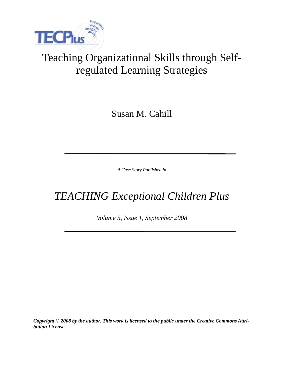

# Teaching Organizational Skills through Selfregulated Learning Strategies

Susan M. Cahill

*A Case Story Published in*

# *TEACHING Exceptional Children Plus*

*Volume 5, Issue 1, September 2008*

*Copyright © 2008 by the author. This work is licensed to the public under the Creative Commons Attribution License*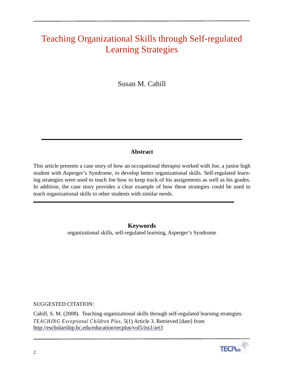# Teaching Organizational Skills through Self-regulated Learning Strategies

Susan M. Cahill

# **Abstract**

This article presents a case story of how an occupational therapist worked with Joe, a junior high student with Asperger's Syndrome, to develop better organizational skills. Self-regulated learning strategies were used to teach Joe how to keep track of his assignments as well as his grades. In addition, the case story provides a clear example of how these strategies could be used to teach organizational skills to other students with similar needs.

> **Keywords** organizational skills, self-regulated learning, Asperger's Syndrome

SUGGESTED CITATION:

Cahill, S. M. (2008). Teaching organizational skills through self-regulated learning strategies. *TEACHING Exceptional Children Plus,* 5(1) Article 3. Retrieved [date] from http://escholarship.bc.edu/education/tecplus/vol5/iss1/art3

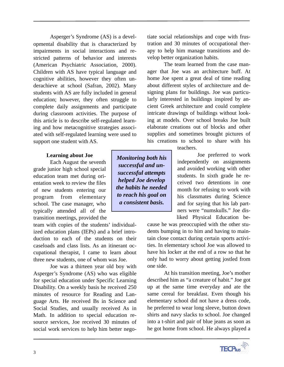Asperger's Syndrome (AS) is a developmental disability that is characterized by impairments in social interactions and restricted patterns of behavior and interests (American Psychiatric Association, 2000). Children with AS have typical language and cognitive abilities, however they often underachieve at school (Safran, 2002). Many students with AS are fully included in general education; however, they often struggle to complete daily assignments and participate during classroom activities. The purpose of this article is to describe self-regulated learning and how metacognitive strategies associated with self-regulated learning were used to support one student with AS.

## **Learning about Joe**

Each August the seventh grade junior high school special education team met during orientation week to review the files of new students entering our program from elementary school. The case manager, who typically attended all of the transition meetings, provided the

team with copies of the students' individualized education plans (IEPs) and a brief introduction to each of the students on their caseloads and class lists. As an itinerant occupational therapist, I came to learn about three new students, one of whom was Joe.

Joe was a thirteen year old boy with Asperger's Syndrome (AS) who was eligible for special education under Specific Learning Disability. On a weekly basis he received 250 minutes of resource for Reading and Language Arts. He received Bs in Science and Social Studies, and usually received As in Math. In addition to special education resource services, Joe received 30 minutes of social work services to help him better nego-

*Monitoring both his successful and unsuccessful attempts helped Joe develop the habits he needed to reach his goal on a consistent basis.*

tiate social relationships and cope with frustration and 30 minutes of occupational therapy to help him manage transitions and develop better organization habits.

The team learned from the case manager that Joe was an architecture buff. At home Joe spent a great deal of time reading about different styles of architecture and designing plans for buildings. Joe was particularly interested in buildings inspired by ancient Greek architecture and could complete intricate drawings of buildings without looking at models. Over school breaks Joe built elaborate creations out of blocks and other supplies and sometimes brought pictures of his creations to school to share with his

teachers.

Joe preferred to work independently on assignments and avoided working with other students. In sixth grade he received two detentions in one month for refusing to work with his classmates during Science and for saying that his lab partners were "numskulls." Joe disliked Physical Education be-

cause he was preoccupied with the other students bumping in to him and having to maintain close contact during certain sports activities. In elementary school Joe was allowed to have his locker at the end of a row so that he only had to worry about getting jostled from one side.

At his transition meeting, Joe's mother described him as "a creature of habit." Joe got up at the same time everyday and ate the same cereal for breakfast. Even though his elementary school did not have a dress code, he preferred to wear long sleeve, button down shirts and navy slacks to school. Joe changed into a t-shirt and pair of blue jeans as soon as he got home from school. He always played a

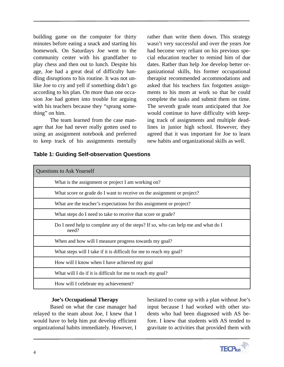building game on the computer for thirty minutes before eating a snack and starting his homework. On Saturdays Joe went to the community center with his grandfather to play chess and then out to lunch. Despite his age, Joe had a great deal of difficulty handling disruptions to his routine. It was not unlike Joe to cry and yell if something didn't go according to his plan. On more than one occasion Joe had gotten into trouble for arguing with his teachers because they "sprang something" on him.

The team learned from the case manager that Joe had never really gotten used to using an assignment notebook and preferred to keep track of his assignments mentally

rather than write them down. This strategy wasn't very successful and over the years Joe had become very reliant on his previous special education teacher to remind him of due dates. Rather than help Joe develop better organizational skills, his former occupational therapist recommended accommodations and asked that his teachers fax forgotten assignments to his mom at work so that he could complete the tasks and submit them on time. The seventh grade team anticipated that Joe would continue to have difficulty with keeping track of assignments and multiple deadlines in junior high school. However, they agreed that it was important for Joe to learn new habits and organizational skills as well.

| <b>Questions to Ask Yourself</b>                                                           |  |  |  |  |
|--------------------------------------------------------------------------------------------|--|--|--|--|
| What is the assignment or project I am working on?                                         |  |  |  |  |
| What score or grade do I want to receive on the assignment or project?                     |  |  |  |  |
| What are the teacher's expectations for this assignment or project?                        |  |  |  |  |
| What steps do I need to take to receive that score or grade?                               |  |  |  |  |
| Do I need help to complete any of the steps? If so, who can help me and what do I<br>need? |  |  |  |  |
| When and how will I measure progress towards my goal?                                      |  |  |  |  |
| What steps will I take if it is difficult for me to reach my goal?                         |  |  |  |  |
| How will I know when I have achieved my goal                                               |  |  |  |  |
| What will I do if it is difficult for me to reach my goal?                                 |  |  |  |  |
| How will I celebrate my achievement?                                                       |  |  |  |  |

## **Table 1: Guiding Self-observation Questions**

### **Joe's Occupational Therapy**

Based on what the case manager had relayed to the team about Joe, I knew that I would have to help him put develop efficient organizational habits immediately. However, I hesitated to come up with a plan without Joe's input because I had worked with other students who had been diagnosed with AS before. I knew that students with AS tended to gravitate to activities that provided them with

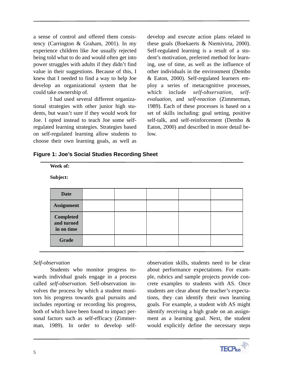a sense of control and offered them consistency (Carrington & Graham, 2001). In my experience children like Joe usually rejected being told what to do and would often get into power struggles with adults if they didn't find value in their suggestions. Because of this, I knew that I needed to find a way to help Joe develop an organizational system that he could take ownership of.

I had used several different organizational strategies with other junior high students, but wasn't sure if they would work for Joe. I opted instead to teach Joe some selfregulated learning strategies. Strategies based on self-regulated learning allow students to choose their own learning goals, as well as

develop and execute action plans related to these goals (Boekaerts & Niemivirta, 2000). Self-regulated learning is a result of a student's motivation, preferred method for learning, use of time, as well as the influence of other individuals in the environment (Dembo & Eaton, 2000). Self-regulated learners employ a series of metacognitive processes, which include *self-observation*, *selfevaluation*, and *self-reaction* (Zimmerman, 1989). Each of these processes is based on a set of skills including: goal setting, positive self-talk, and self-reinforcement (Dembo & Eaton, 2000) and described in more detail below.

| <b>Figure 1: Joe's Social Studies Recording Sheet</b> |  |
|-------------------------------------------------------|--|
|-------------------------------------------------------|--|

| Week of:                                     |  |  |  |  |  |
|----------------------------------------------|--|--|--|--|--|
| Subject:                                     |  |  |  |  |  |
|                                              |  |  |  |  |  |
| <b>Date</b>                                  |  |  |  |  |  |
| <b>Assignment</b>                            |  |  |  |  |  |
| <b>Completed</b><br>and turned<br>in on time |  |  |  |  |  |
| <b>Grade</b>                                 |  |  |  |  |  |

# *Self-observation*

Students who monitor progress towards individual goals engage in a process called *self-observation*. Self-observation involves the process by which a student monitors his progress towards goal pursuits and includes reporting or recording his progress, both of which have been found to impact personal factors such as self-efficacy (Zimmerman, 1989). In order to develop self-

observation skills, students need to be clear about performance expectations. For example, rubrics and sample projects provide concrete examples to students with AS. Once students are clear about the teacher's expectations, they can identify their own learning goals. For example, a student with AS might identify receiving a high grade on an assignment as a learning goal. Next, the student would explicitly define the necessary steps

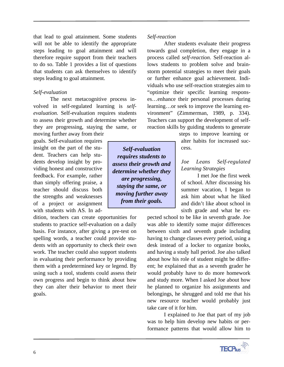that lead to goal attainment. Some students will not be able to identify the appropriate steps leading to goal attainment and will therefore require support from their teachers to do so. Table 1 provides a list of questions that students can ask themselves to identify steps leading to goal attainment.

#### *Self-evaluation*

The next metacognitive process involved in self-regulated learning is *selfevaluation.* Self-evaluation requires students to assess their growth and determine whether they are progressing, staying the same, or

moving further away from their goals. Self-evaluation requires insight on the part of the student. Teachers can help students develop insight by providing honest and constructive feedback. For example, rather than simply offering praise, a teacher should discuss both the strengths and weaknesses of a project or assignment with students with AS. In ad-

dition, teachers can create opportunities for students to practice self-evaluation on a daily basis. For instance, after giving a pre-test on spelling words, a teacher could provide students with an opportunity to check their own work. The teacher could also support students in evaluating their performance by providing them with a predetermined key or legend. By using such a tool, students could assess their own progress and begin to think about how they can alter their behavior to meet their goals.

*Self-reaction*

After students evaluate their progress towards goal completion, they engage in a process called *self-reaction*. Self-reaction allows students to problem solve and brainstorm potential strategies to meet their goals or further enhance goal achievement. Individuals who use self-reaction strategies aim to "optimize their specific learning responses…enhance their personal processes during learning…or seek to improve the learning environment" (Zimmerman, 1989, p. 334). Teachers can support the development of selfreaction skills by guiding students to generate

steps to improve learning or alter habits for increased success.

# *Joe Leans Self-regulated Learning Strategies*

I met Joe the first week of school. After discussing his summer vacation, I began to ask him about what he liked and didn't like about school in sixth grade and what he ex-

pected school to be like in seventh grade. Joe was able to identify some major differences between sixth and seventh grade including having to change classes every period, using a desk instead of a locker to organize books, and having a study hall period. Joe also talked about how his role of student might be different; he explained that as a seventh grader he would probably have to do more homework and study more. When I asked Joe about how he planned to organize his assignments and belongings, he shrugged and told me that his new resource teacher would probably just take care of it for him.

I explained to Joe that part of my job was to help him develop new habits or performance patterns that would allow him to



*Self-evaluation requires students to assess their growth and determine whether they are progressing, staying the same, or moving further away from their goals.*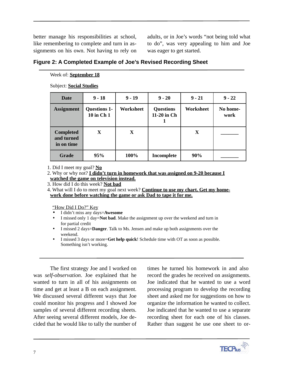better manage his responsibilities at school, like remembering to complete and turn in assignments on his own. Not having to rely on

adults, or in Joe's words "not being told what to do", was very appealing to him and Joe was eager to get started.

|  |  | Figure 2: A Completed Example of Joe's Revised Recording Sheet |
|--|--|----------------------------------------------------------------|
|  |  |                                                                |

#### Week of: **September 18**

Subject: **Social Studies**

| Date                                         | $9 - 18$                          | $9 - 19$  | $9 - 20$                        | $9 - 21$  | $9 - 22$         |
|----------------------------------------------|-----------------------------------|-----------|---------------------------------|-----------|------------------|
| <b>Assignment</b>                            | <b>Questions 1-</b><br>10 in Ch 1 | Worksheet | <b>Questions</b><br>11-20 in Ch | Worksheet | No home-<br>work |
| <b>Completed</b><br>and turned<br>in on time | X                                 | X         |                                 | X         |                  |
| Grade                                        | 95%                               | 100%      | Incomplete                      | 90%       |                  |

1. Did I meet my goal? **No**

2. Why or why not? **I didn't turn in homework that was assigned on 9-20 because I watched the game on television instead.**

3. How did I do this week? **Not bad**

4. What will I do to meet my goal next week? **Continue to use my chart. Get my homework done before watching the game or ask Dad to tape it for me.**

"How Did I Do?" Key

- I didn't miss any days=**Awesome**
- I missed only 1 day=**Not bad**. Make the assignment up over the weekend and turn in for partial credit
- I missed 2 days=**Danger**. Talk to Ms. Jensen and make up both assignments over the weekend.
- I missed 3 days or more=**Get help quick**! Schedule time with OT as soon as possible. Something isn't working.

The first strategy Joe and I worked on was *self-observation*. Joe explained that he wanted to turn in all of his assignments on time and get at least a B on each assignment. We discussed several different ways that Joe could monitor his progress and I showed Joe samples of several different recording sheets. After seeing several different models, Joe decided that he would like to tally the number of

times he turned his homework in and also record the grades he received on assignments. Joe indicated that he wanted to use a word processing program to develop the recording sheet and asked me for suggestions on how to organize the information he wanted to collect. Joe indicated that he wanted to use a separate recording sheet for each one of his classes. Rather than suggest he use one sheet to or-

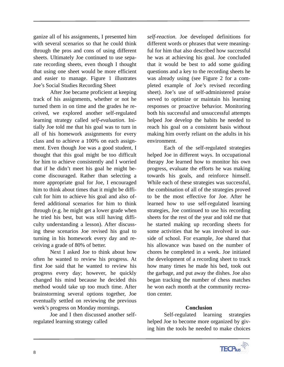ganize all of his assignments, I presented him with several scenarios so that he could think through the pros and cons of using different sheets. Ultimately Joe continued to use separate recording sheets, even though I thought that using one sheet would be more efficient and easier to manage. Figure 1 illustrates Joe's Social Studies Recording Sheet

After Joe became proficient at keeping track of his assignments, whether or not he turned them in on time and the grades he received, we explored another self-regulated learning strategy called *self-evaluation*. Initially Joe told me that his goal was to turn in all of his homework assignments for every class and to achieve a 100% on each assignment. Even though Joe was a good student, I thought that this goal might be too difficult for him to achieve consistently and I worried that if he didn't meet his goal he might become discouraged. Rather than selecting a more appropriate goal for Joe, I encouraged him to think about times that it might be difficult for him to achieve his goal and also offered additional scenarios for him to think through (e.g. he might get a lower grade when he tried his best, but was still having difficulty understanding a lesson). After discussing these scenarios Joe revised his goal to turning in his homework every day and receiving a grade of 80% of better.

Next I asked Joe to think about how often he wanted to review his progress. At first Joe said that he wanted to review his progress every day; however, he quickly changed his mind because he decided this method would take up too much time. After brainstorming several options together, Joe eventually settled on reviewing the previous week's progress on Monday mornings.

Joe and I then discussed another selfregulated learning strategy called

*self-reaction*. Joe developed definitions for different words or phrases that were meaningful for him that also described how successful he was at achieving his goal. Joe concluded that it would be best to add some guiding questions and a key to the recording sheets he was already using (see Figure 2 for a completed example of Joe's revised recording sheet). Joe's use of self-administered praise served to optimize or maintain his learning responses or proactive behavior. Monitoring both his successful and unsuccessful attempts helped Joe develop the habits he needed to reach his goal on a consistent basis without making him overly reliant on the adults in his environment.

Each of the self-regulated strategies helped Joe in different ways. In occupational therapy Joe learned how to monitor his own progress, evaluate the efforts he was making towards his goals, and reinforce himself. While each of these strategies was successful, the combination of all of the strategies proved to be the most effective for Joe. After he learned how to use self-regulated learning strategies, Joe continued to use his recording sheets for the rest of the year and told me that he started making up recording sheets for some activities that he was involved in outside of school. For example, Joe shared that his allowance was based on the number of chores he completed in a week. Joe initiated the development of a recording sheet to track how many times he made his bed, took out the garbage, and put away the dishes. Joe also began tracking the number of chess matches he won each month at the community recreation center.

### **Conclusion**

Self-regulated learning strategies helped Joe to become more organized by giving him the tools he needed to make choices